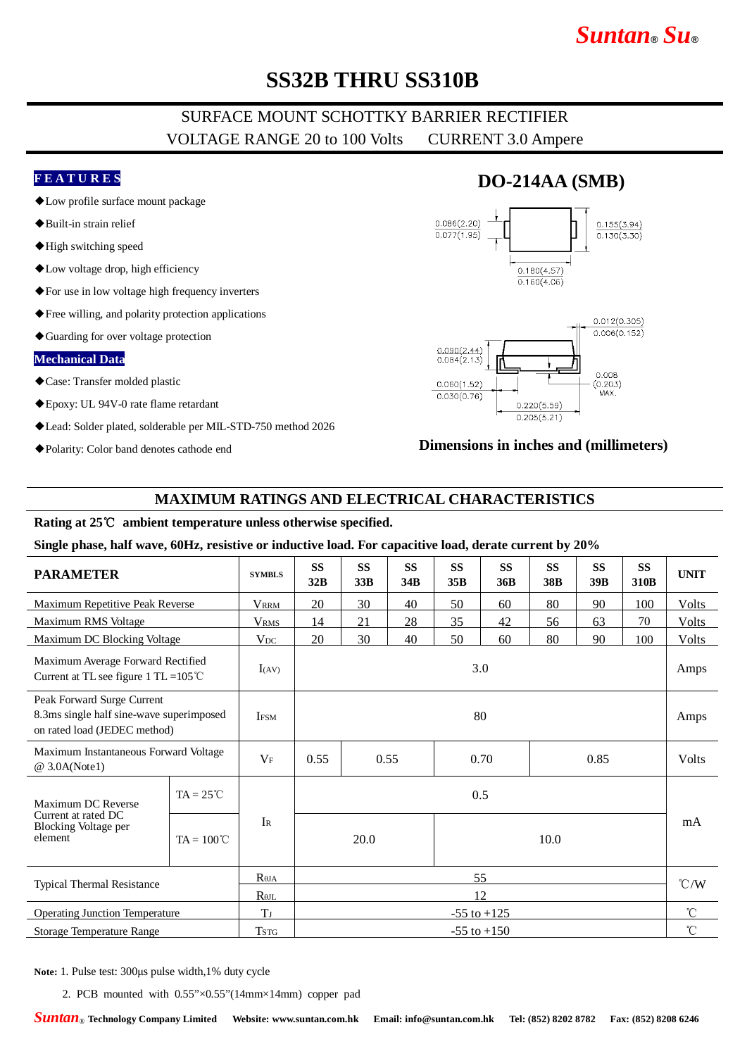# *Suntan***®** *Su***®**

# **SS32B THRU SS310B**

### SURFACE MOUNT SCHOTTKY BARRIER RECTIFIER VOLTAGE RANGE 20 to 100 Volts CURRENT 3.0 Ampere

#### **F E A T U R E S**

- ◆Low profile surface mount package
- ◆Built-in strain relief
- ◆High switching speed
- ◆Low voltage drop, high efficiency
- ◆For use in low voltage high frequency inverters
- ◆Free willing, and polarity protection applications
- ◆Guarding for over voltage protection

#### **Mechanical Data**

- ◆Case: Transfer molded plastic
- ◆Epoxy: UL 94V-0 rate flame retardant
- ◆Lead: Solder plated, solderable per MIL-STD-750 method 2026
- ◆Polarity: Color band denotes cathode end

## **DO-214AA (SMB)**





### **Dimensions in inches and (millimeters)**

#### **MAXIMUM RATINGS AND ELECTRICAL CHARACTERISTICS**

### **Rating at 25**℃ **ambient temperature unless otherwise specified.**

#### **Single phase, half wave, 60Hz, resistive or inductive load. For capacitive load, derate current by 20%**

| <b>PARAMETER</b>                                                                                       |                     | <b>SYMBLS</b>    | <b>SS</b><br>32B             | <b>SS</b><br>33B | <b>SS</b><br>34B | <b>SS</b><br>35B | <b>SS</b><br>36B | <b>SS</b><br><b>38B</b> | <b>SS</b><br>39 <sub>B</sub> | <b>SS</b><br>310 <sub>B</sub> | <b>UNIT</b>     |
|--------------------------------------------------------------------------------------------------------|---------------------|------------------|------------------------------|------------------|------------------|------------------|------------------|-------------------------|------------------------------|-------------------------------|-----------------|
| Maximum Repetitive Peak Reverse                                                                        |                     | <b>VRRM</b>      | 20                           | 30               | 40               | 50               | 60               | 80                      | 90                           | 100                           | Volts           |
| Maximum RMS Voltage                                                                                    |                     | <b>VRMS</b>      | 14                           | 21               | 28               | 35               | 42               | 56                      | 63                           | 70                            | <b>Volts</b>    |
| Maximum DC Blocking Voltage                                                                            |                     | $V_{DC}$         | 20                           | 30               | 40               | 50               | 60               | 80                      | 90                           | 100                           | Volts           |
| Maximum Average Forward Rectified<br>Current at TL see figure 1 TL = $105^{\circ}$ C                   |                     | I(AV)            | 3.0                          |                  |                  |                  |                  |                         |                              |                               | Amps            |
| Peak Forward Surge Current<br>8.3ms single half sine-wave superimposed<br>on rated load (JEDEC method) |                     | <b>IFSM</b>      | 80                           |                  |                  |                  |                  |                         |                              |                               | Amps            |
| Maximum Instantaneous Forward Voltage<br>@ 3.0A(Note1)                                                 |                     | $V_{\mathrm{F}}$ | 0.55<br>0.55<br>0.70<br>0.85 |                  |                  | <b>Volts</b>     |                  |                         |                              |                               |                 |
| Maximum DC Reverse<br>Current at rated DC<br>Blocking Voltage per<br>element                           | $TA = 25^{\circ}C$  |                  | 0.5                          |                  |                  |                  |                  |                         |                              |                               |                 |
|                                                                                                        | $TA = 100^{\circ}C$ | $\rm I_R$        | 20.0                         |                  |                  | 10.0             |                  |                         |                              |                               | mA              |
| Typical Thermal Resistance                                                                             |                     | $R_{\theta JA}$  | 55                           |                  |                  |                  |                  |                         |                              |                               | $\mathcal{C}/W$ |
|                                                                                                        |                     | $R_{\theta JL}$  | 12                           |                  |                  |                  |                  |                         |                              |                               |                 |
| <b>Operating Junction Temperature</b>                                                                  |                     | $T_J$            | $-55$ to $+125$              |                  |                  |                  |                  |                         |                              |                               | $^{\circ}$ C    |
| Storage Temperature Range                                                                              |                     | <b>TSTG</b>      | $-55$ to $+150$              |                  |                  |                  |                  |                         |                              |                               | $^{\circ}$ C    |

**Note:** 1. Pulse test: 300μs pulse width,1% duty cycle

2. PCB mounted with 0.55"×0.55"(14mm×14mm) copper pad